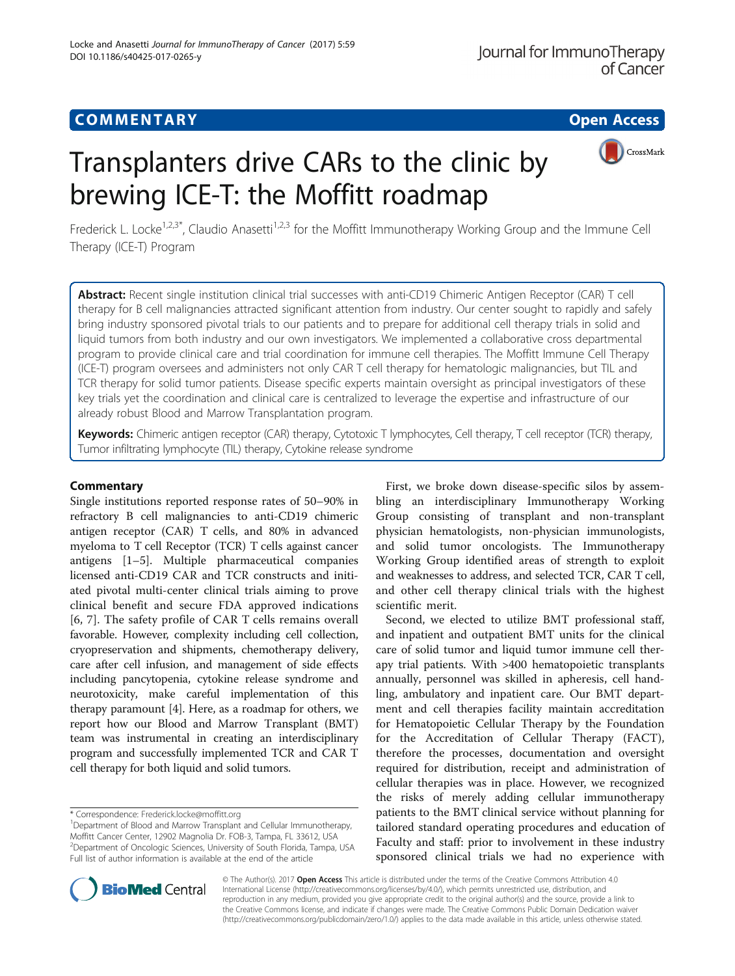# **COMMENTARY COMMENTARY Open Access**

# Transplanters drive CARs to the clinic by brewing ICE-T: the Moffitt roadmap



Frederick L. Locke<sup>1,2,3\*</sup>, Claudio Anasetti<sup>1,2,3</sup> for the Moffitt Immunotherapy Working Group and the Immune Cell Therapy (ICE-T) Program

Abstract: Recent single institution clinical trial successes with anti-CD19 Chimeric Antigen Receptor (CAR) T cell therapy for B cell malignancies attracted significant attention from industry. Our center sought to rapidly and safely bring industry sponsored pivotal trials to our patients and to prepare for additional cell therapy trials in solid and liquid tumors from both industry and our own investigators. We implemented a collaborative cross departmental program to provide clinical care and trial coordination for immune cell therapies. The Moffitt Immune Cell Therapy (ICE-T) program oversees and administers not only CAR T cell therapy for hematologic malignancies, but TIL and TCR therapy for solid tumor patients. Disease specific experts maintain oversight as principal investigators of these key trials yet the coordination and clinical care is centralized to leverage the expertise and infrastructure of our already robust Blood and Marrow Transplantation program.

Keywords: Chimeric antigen receptor (CAR) therapy, Cytotoxic T lymphocytes, Cell therapy, T cell receptor (TCR) therapy, Tumor infiltrating lymphocyte (TIL) therapy, Cytokine release syndrome

### **Commentary**

Single institutions reported response rates of 50–90% in refractory B cell malignancies to anti-CD19 chimeric antigen receptor (CAR) T cells, and 80% in advanced myeloma to T cell Receptor (TCR) T cells against cancer antigens [[1](#page-1-0)–[5](#page-2-0)]. Multiple pharmaceutical companies licensed anti-CD19 CAR and TCR constructs and initiated pivotal multi-center clinical trials aiming to prove clinical benefit and secure FDA approved indications [[6, 7\]](#page-2-0). The safety profile of CAR T cells remains overall favorable. However, complexity including cell collection, cryopreservation and shipments, chemotherapy delivery, care after cell infusion, and management of side effects including pancytopenia, cytokine release syndrome and neurotoxicity, make careful implementation of this therapy paramount [[4\]](#page-1-0). Here, as a roadmap for others, we report how our Blood and Marrow Transplant (BMT) team was instrumental in creating an interdisciplinary program and successfully implemented TCR and CAR T cell therapy for both liquid and solid tumors.

First, we broke down disease-specific silos by assembling an interdisciplinary Immunotherapy Working Group consisting of transplant and non-transplant physician hematologists, non-physician immunologists, and solid tumor oncologists. The Immunotherapy Working Group identified areas of strength to exploit and weaknesses to address, and selected TCR, CAR T cell, and other cell therapy clinical trials with the highest scientific merit.

Second, we elected to utilize BMT professional staff, and inpatient and outpatient BMT units for the clinical care of solid tumor and liquid tumor immune cell therapy trial patients. With >400 hematopoietic transplants annually, personnel was skilled in apheresis, cell handling, ambulatory and inpatient care. Our BMT department and cell therapies facility maintain accreditation for Hematopoietic Cellular Therapy by the Foundation for the Accreditation of Cellular Therapy (FACT), therefore the processes, documentation and oversight required for distribution, receipt and administration of cellular therapies was in place. However, we recognized the risks of merely adding cellular immunotherapy patients to the BMT clinical service without planning for tailored standard operating procedures and education of Faculty and staff: prior to involvement in these industry sponsored clinical trials we had no experience with



© The Author(s). 2017 **Open Access** This article is distributed under the terms of the Creative Commons Attribution 4.0 International License [\(http://creativecommons.org/licenses/by/4.0/](http://creativecommons.org/licenses/by/4.0/)), which permits unrestricted use, distribution, and reproduction in any medium, provided you give appropriate credit to the original author(s) and the source, provide a link to the Creative Commons license, and indicate if changes were made. The Creative Commons Public Domain Dedication waiver [\(http://creativecommons.org/publicdomain/zero/1.0/](http://creativecommons.org/publicdomain/zero/1.0/)) applies to the data made available in this article, unless otherwise stated.

<sup>\*</sup> Correspondence: [Frederick.locke@moffitt.org](mailto:Frederick.locke@moffitt.org) <sup>1</sup>

<sup>&</sup>lt;sup>1</sup>Department of Blood and Marrow Transplant and Cellular Immunotherapy, Moffitt Cancer Center, 12902 Magnolia Dr. FOB-3, Tampa, FL 33612, USA 2 Department of Oncologic Sciences, University of South Florida, Tampa, USA Full list of author information is available at the end of the article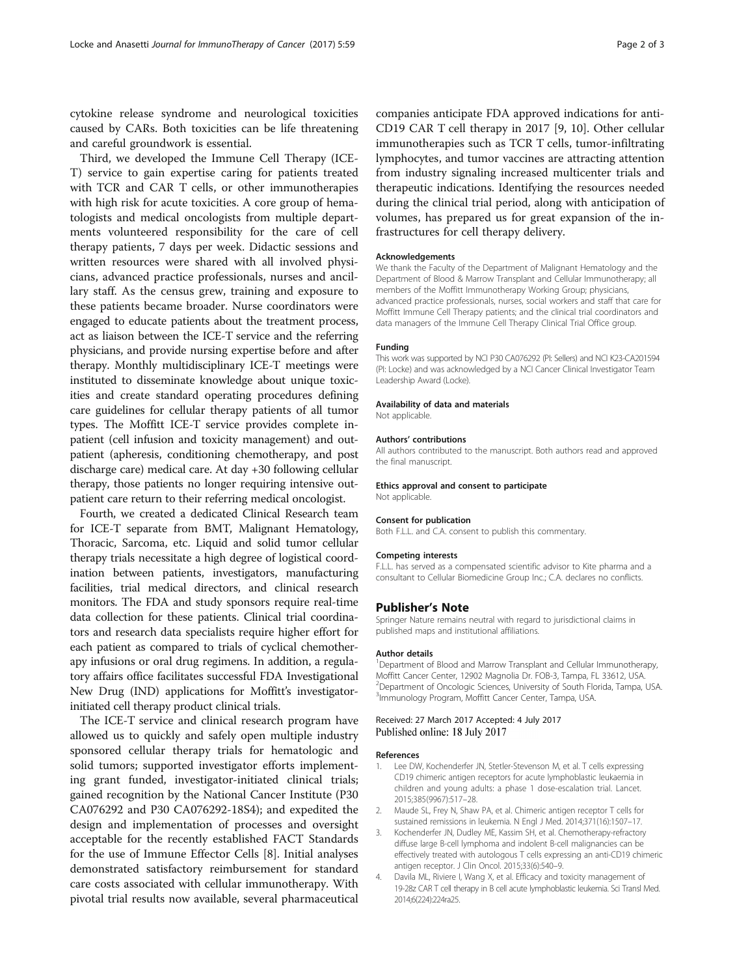<span id="page-1-0"></span>cytokine release syndrome and neurological toxicities caused by CARs. Both toxicities can be life threatening and careful groundwork is essential.

Third, we developed the Immune Cell Therapy (ICE-T) service to gain expertise caring for patients treated with TCR and CAR T cells, or other immunotherapies with high risk for acute toxicities. A core group of hematologists and medical oncologists from multiple departments volunteered responsibility for the care of cell therapy patients, 7 days per week. Didactic sessions and written resources were shared with all involved physicians, advanced practice professionals, nurses and ancillary staff. As the census grew, training and exposure to these patients became broader. Nurse coordinators were engaged to educate patients about the treatment process, act as liaison between the ICE-T service and the referring physicians, and provide nursing expertise before and after therapy. Monthly multidisciplinary ICE-T meetings were instituted to disseminate knowledge about unique toxicities and create standard operating procedures defining care guidelines for cellular therapy patients of all tumor types. The Moffitt ICE-T service provides complete inpatient (cell infusion and toxicity management) and outpatient (apheresis, conditioning chemotherapy, and post discharge care) medical care. At day +30 following cellular therapy, those patients no longer requiring intensive outpatient care return to their referring medical oncologist.

Fourth, we created a dedicated Clinical Research team for ICE-T separate from BMT, Malignant Hematology, Thoracic, Sarcoma, etc. Liquid and solid tumor cellular therapy trials necessitate a high degree of logistical coordination between patients, investigators, manufacturing facilities, trial medical directors, and clinical research monitors. The FDA and study sponsors require real-time data collection for these patients. Clinical trial coordinators and research data specialists require higher effort for each patient as compared to trials of cyclical chemotherapy infusions or oral drug regimens. In addition, a regulatory affairs office facilitates successful FDA Investigational New Drug (IND) applications for Moffitt's investigatorinitiated cell therapy product clinical trials.

The ICE-T service and clinical research program have allowed us to quickly and safely open multiple industry sponsored cellular therapy trials for hematologic and solid tumors; supported investigator efforts implementing grant funded, investigator-initiated clinical trials; gained recognition by the National Cancer Institute (P30 CA076292 and P30 CA076292-18S4); and expedited the design and implementation of processes and oversight acceptable for the recently established FACT Standards for the use of Immune Effector Cells [\[8](#page-2-0)]. Initial analyses demonstrated satisfactory reimbursement for standard care costs associated with cellular immunotherapy. With pivotal trial results now available, several pharmaceutical

companies anticipate FDA approved indications for anti-CD19 CAR T cell therapy in 2017 [\[9](#page-2-0), [10](#page-2-0)]. Other cellular immunotherapies such as TCR T cells, tumor-infiltrating lymphocytes, and tumor vaccines are attracting attention from industry signaling increased multicenter trials and therapeutic indications. Identifying the resources needed during the clinical trial period, along with anticipation of volumes, has prepared us for great expansion of the infrastructures for cell therapy delivery.

#### Acknowledgements

We thank the Faculty of the Department of Malignant Hematology and the Department of Blood & Marrow Transplant and Cellular Immunotherapy; all members of the Moffitt Immunotherapy Working Group; physicians, advanced practice professionals, nurses, social workers and staff that care for Moffitt Immune Cell Therapy patients; and the clinical trial coordinators and data managers of the Immune Cell Therapy Clinical Trial Office group.

#### Funding

This work was supported by NCI P30 CA076292 (PI: Sellers) and NCI K23-CA201594 (PI: Locke) and was acknowledged by a NCI Cancer Clinical Investigator Team Leadership Award (Locke).

#### Availability of data and materials

Not applicable.

#### Authors' contributions

All authors contributed to the manuscript. Both authors read and approved the final manuscript.

Ethics approval and consent to participate Not applicable.

#### Consent for publication

Both F.L.L. and C.A. consent to publish this commentary.

#### Competing interests

F.L.L. has served as a compensated scientific advisor to Kite pharma and a consultant to Cellular Biomedicine Group Inc.; C.A. declares no conflicts.

#### Publisher's Note

Springer Nature remains neutral with regard to jurisdictional claims in published maps and institutional affiliations.

#### Author details

<sup>1</sup>Department of Blood and Marrow Transplant and Cellular Immunotherapy Moffitt Cancer Center, 12902 Magnolia Dr. FOB-3, Tampa, FL 33612, USA. <sup>2</sup> Department of Oncologic Sciences, University of South Florida, Tampa, USA <sup>3</sup>Immunology Program, Moffitt Cancer Center, Tampa, USA.

#### Received: 27 March 2017 Accepted: 4 July 2017 Published online: 18 July 2017

#### References

- Lee DW, Kochenderfer JN, Stetler-Stevenson M, et al. T cells expressing CD19 chimeric antigen receptors for acute lymphoblastic leukaemia in children and young adults: a phase 1 dose-escalation trial. Lancet. 2015;385(9967):517–28.
- 2. Maude SL, Frey N, Shaw PA, et al. Chimeric antigen receptor T cells for sustained remissions in leukemia. N Engl J Med. 2014;371(16):1507–17.
- 3. Kochenderfer JN, Dudley ME, Kassim SH, et al. Chemotherapy-refractory diffuse large B-cell lymphoma and indolent B-cell malignancies can be effectively treated with autologous T cells expressing an anti-CD19 chimeric antigen receptor. J Clin Oncol. 2015;33(6):540–9.
- 4. Davila ML, Riviere I, Wang X, et al. Efficacy and toxicity management of 19-28z CAR T cell therapy in B cell acute lymphoblastic leukemia. Sci Transl Med. 2014;6(224):224ra25.